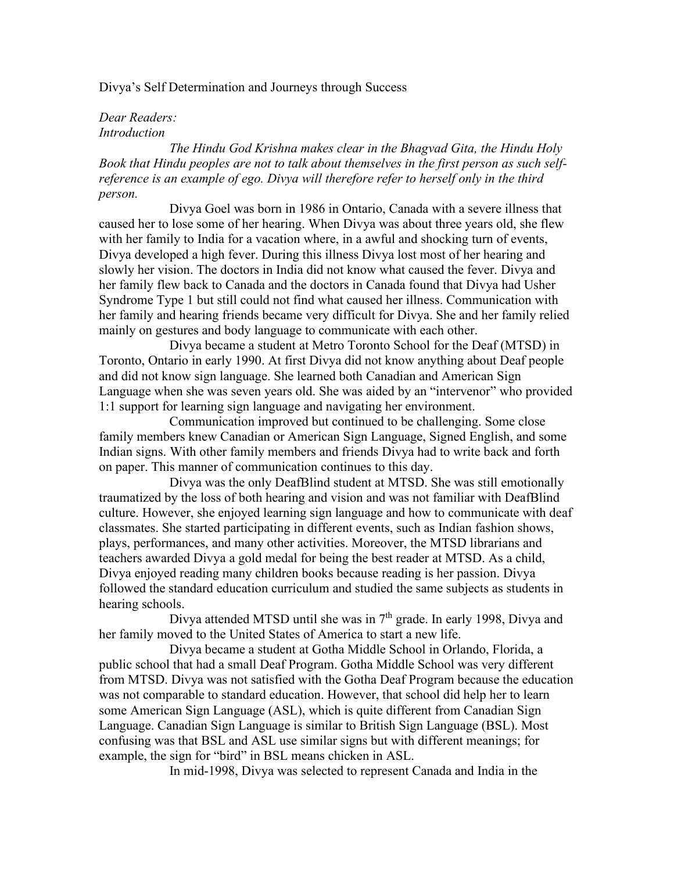## Divya's Self Determination and Journeys through Success

## *Dear Readers: Introduction*

*The Hindu God Krishna makes clear in the Bhagvad Gita, the Hindu Holy Book that Hindu peoples are not to talk about themselves in the first person as such selfreference is an example of ego. Divya will therefore refer to herself only in the third person.*

Divya Goel was born in 1986 in Ontario, Canada with a severe illness that caused her to lose some of her hearing. When Divya was about three years old, she flew with her family to India for a vacation where, in a awful and shocking turn of events, Divya developed a high fever. During this illness Divya lost most of her hearing and slowly her vision. The doctors in India did not know what caused the fever. Divya and her family flew back to Canada and the doctors in Canada found that Divya had Usher Syndrome Type 1 but still could not find what caused her illness. Communication with her family and hearing friends became very difficult for Divya. She and her family relied mainly on gestures and body language to communicate with each other.

Divya became a student at Metro Toronto School for the Deaf (MTSD) in Toronto, Ontario in early 1990. At first Divya did not know anything about Deaf people and did not know sign language. She learned both Canadian and American Sign Language when she was seven years old. She was aided by an "intervenor" who provided 1:1 support for learning sign language and navigating her environment.

Communication improved but continued to be challenging. Some close family members knew Canadian or American Sign Language, Signed English, and some Indian signs. With other family members and friends Divya had to write back and forth on paper. This manner of communication continues to this day.

Divya was the only DeafBlind student at MTSD. She was still emotionally traumatized by the loss of both hearing and vision and was not familiar with DeafBlind culture. However, she enjoyed learning sign language and how to communicate with deaf classmates. She started participating in different events, such as Indian fashion shows, plays, performances, and many other activities. Moreover, the MTSD librarians and teachers awarded Divya a gold medal for being the best reader at MTSD. As a child, Divya enjoyed reading many children books because reading is her passion. Divya followed the standard education curriculum and studied the same subjects as students in hearing schools.

Divya attended MTSD until she was in  $7<sup>th</sup>$  grade. In early 1998, Divya and her family moved to the United States of America to start a new life.

Divya became a student at Gotha Middle School in Orlando, Florida, a public school that had a small Deaf Program. Gotha Middle School was very different from MTSD. Divya was not satisfied with the Gotha Deaf Program because the education was not comparable to standard education. However, that school did help her to learn some American Sign Language (ASL), which is quite different from Canadian Sign Language. Canadian Sign Language is similar to British Sign Language (BSL). Most confusing was that BSL and ASL use similar signs but with different meanings; for example, the sign for "bird" in BSL means chicken in ASL.

In mid-1998, Divya was selected to represent Canada and India in the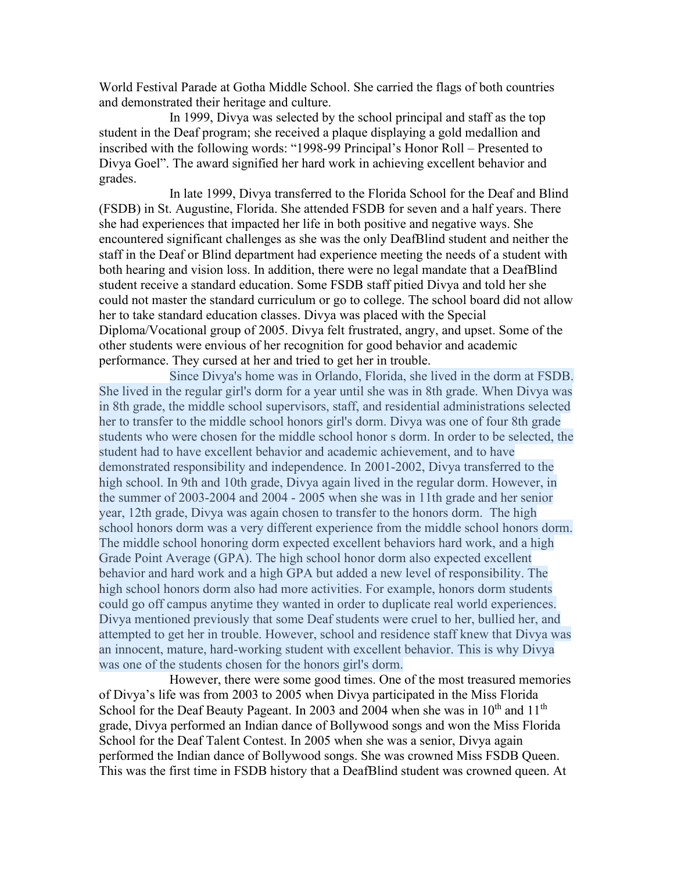World Festival Parade at Gotha Middle School. She carried the flags of both countries and demonstrated their heritage and culture.

In 1999, Divya was selected by the school principal and staff as the top student in the Deaf program; she received a plaque displaying a gold medallion and inscribed with the following words: "1998-99 Principal's Honor Roll – Presented to Divya Goel". The award signified her hard work in achieving excellent behavior and grades.

In late 1999, Divya transferred to the Florida School for the Deaf and Blind (FSDB) in St. Augustine, Florida. She attended FSDB for seven and a half years. There she had experiences that impacted her life in both positive and negative ways. She encountered significant challenges as she was the only DeafBlind student and neither the staff in the Deaf or Blind department had experience meeting the needs of a student with both hearing and vision loss. In addition, there were no legal mandate that a DeafBlind student receive a standard education. Some FSDB staff pitied Divya and told her she could not master the standard curriculum or go to college. The school board did not allow her to take standard education classes. Divya was placed with the Special Diploma/Vocational group of 2005. Divya felt frustrated, angry, and upset. Some of the other students were envious of her recognition for good behavior and academic performance. They cursed at her and tried to get her in trouble.

Since Divya's home was in Orlando, Florida, she lived in the dorm at FSDB. She lived in the regular girl's dorm for a year until she was in 8th grade. When Divya was in 8th grade, the middle school supervisors, staff, and residential administrations selected her to transfer to the middle school honors girl's dorm. Divya was one of four 8th grade students who were chosen for the middle school honor s dorm. In order to be selected, the student had to have excellent behavior and academic achievement, and to have demonstrated responsibility and independence. In 2001-2002, Divya transferred to the high school. In 9th and 10th grade, Divya again lived in the regular dorm. However, in the summer of 2003-2004 and 2004 - 2005 when she was in 11th grade and her senior year, 12th grade, Divya was again chosen to transfer to the honors dorm. The high school honors dorm was a very different experience from the middle school honors dorm. The middle school honoring dorm expected excellent behaviors hard work, and a high Grade Point Average (GPA). The high school honor dorm also expected excellent behavior and hard work and a high GPA but added a new level of responsibility. The high school honors dorm also had more activities. For example, honors dorm students could go off campus anytime they wanted in order to duplicate real world experiences. Divya mentioned previously that some Deaf students were cruel to her, bullied her, and attempted to get her in trouble. However, school and residence staff knew that Divya was an innocent, mature, hard-working student with excellent behavior. This is why Divya was one of the students chosen for the honors girl's dorm.

However, there were some good times. One of the most treasured memories of Divya's life was from 2003 to 2005 when Divya participated in the Miss Florida School for the Deaf Beauty Pageant. In 2003 and 2004 when she was in  $10^{th}$  and  $11^{th}$ grade, Divya performed an Indian dance of Bollywood songs and won the Miss Florida School for the Deaf Talent Contest. In 2005 when she was a senior, Divya again performed the Indian dance of Bollywood songs. She was crowned Miss FSDB Queen. This was the first time in FSDB history that a DeafBlind student was crowned queen. At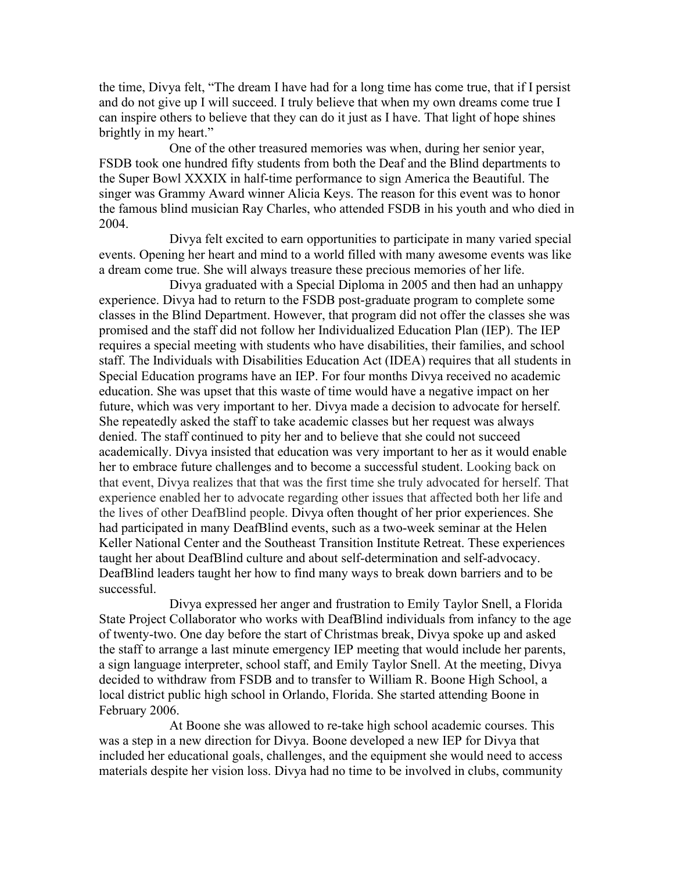the time, Divya felt, "The dream I have had for a long time has come true, that if I persist and do not give up I will succeed. I truly believe that when my own dreams come true I can inspire others to believe that they can do it just as I have. That light of hope shines brightly in my heart."

One of the other treasured memories was when, during her senior year, FSDB took one hundred fifty students from both the Deaf and the Blind departments to the Super Bowl XXXIX in half-time performance to sign America the Beautiful. The singer was Grammy Award winner Alicia Keys. The reason for this event was to honor the famous blind musician Ray Charles, who attended FSDB in his youth and who died in 2004.

Divya felt excited to earn opportunities to participate in many varied special events. Opening her heart and mind to a world filled with many awesome events was like a dream come true. She will always treasure these precious memories of her life.

Divya graduated with a Special Diploma in 2005 and then had an unhappy experience. Divya had to return to the FSDB post-graduate program to complete some classes in the Blind Department. However, that program did not offer the classes she was promised and the staff did not follow her Individualized Education Plan (IEP). The IEP requires a special meeting with students who have disabilities, their families, and school staff. The Individuals with Disabilities Education Act (IDEA) requires that all students in Special Education programs have an IEP. For four months Divya received no academic education. She was upset that this waste of time would have a negative impact on her future, which was very important to her. Divya made a decision to advocate for herself. She repeatedly asked the staff to take academic classes but her request was always denied. The staff continued to pity her and to believe that she could not succeed academically. Divya insisted that education was very important to her as it would enable her to embrace future challenges and to become a successful student. Looking back on that event, Divya realizes that that was the first time she truly advocated for herself. That experience enabled her to advocate regarding other issues that affected both her life and the lives of other DeafBlind people. Divya often thought of her prior experiences. She had participated in many DeafBlind events, such as a two-week seminar at the Helen Keller National Center and the Southeast Transition Institute Retreat. These experiences taught her about DeafBlind culture and about self-determination and self-advocacy. DeafBlind leaders taught her how to find many ways to break down barriers and to be successful.

Divya expressed her anger and frustration to Emily Taylor Snell, a Florida State Project Collaborator who works with DeafBlind individuals from infancy to the age of twenty-two. One day before the start of Christmas break, Divya spoke up and asked the staff to arrange a last minute emergency IEP meeting that would include her parents, a sign language interpreter, school staff, and Emily Taylor Snell. At the meeting, Divya decided to withdraw from FSDB and to transfer to William R. Boone High School, a local district public high school in Orlando, Florida. She started attending Boone in February 2006.

At Boone she was allowed to re-take high school academic courses. This was a step in a new direction for Divya. Boone developed a new IEP for Divya that included her educational goals, challenges, and the equipment she would need to access materials despite her vision loss. Divya had no time to be involved in clubs, community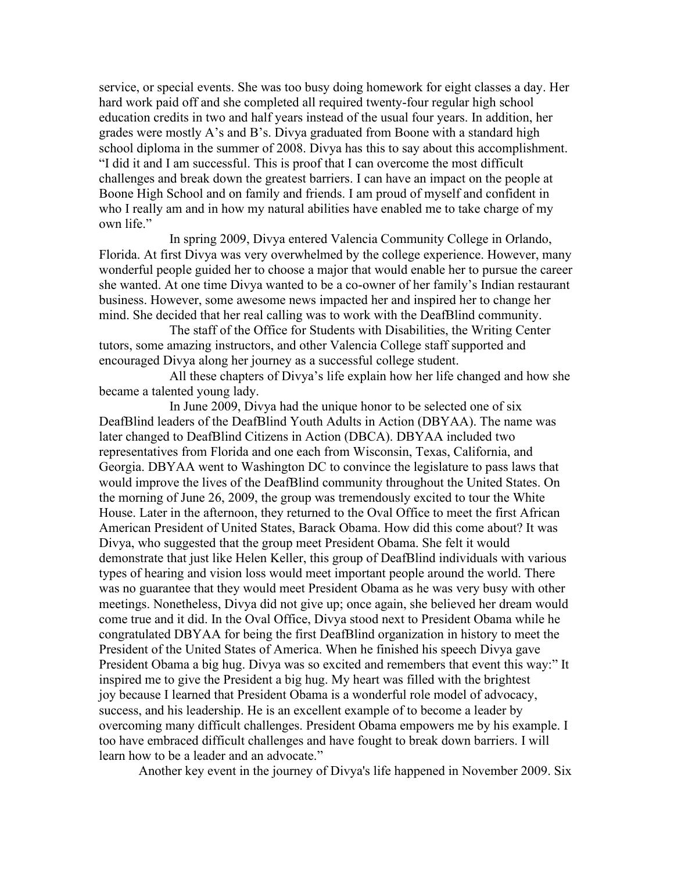service, or special events. She was too busy doing homework for eight classes a day. Her hard work paid off and she completed all required twenty-four regular high school education credits in two and half years instead of the usual four years. In addition, her grades were mostly A's and B's. Divya graduated from Boone with a standard high school diploma in the summer of 2008. Divya has this to say about this accomplishment. "I did it and I am successful. This is proof that I can overcome the most difficult challenges and break down the greatest barriers. I can have an impact on the people at Boone High School and on family and friends. I am proud of myself and confident in who I really am and in how my natural abilities have enabled me to take charge of my own life."

In spring 2009, Divya entered Valencia Community College in Orlando, Florida. At first Divya was very overwhelmed by the college experience. However, many wonderful people guided her to choose a major that would enable her to pursue the career she wanted. At one time Divya wanted to be a co-owner of her family's Indian restaurant business. However, some awesome news impacted her and inspired her to change her mind. She decided that her real calling was to work with the DeafBlind community.

The staff of the Office for Students with Disabilities, the Writing Center tutors, some amazing instructors, and other Valencia College staff supported and encouraged Divya along her journey as a successful college student.

All these chapters of Divya's life explain how her life changed and how she became a talented young lady.

In June 2009, Divya had the unique honor to be selected one of six DeafBlind leaders of the DeafBlind Youth Adults in Action (DBYAA). The name was later changed to DeafBlind Citizens in Action (DBCA). DBYAA included two representatives from Florida and one each from Wisconsin, Texas, California, and Georgia. DBYAA went to Washington DC to convince the legislature to pass laws that would improve the lives of the DeafBlind community throughout the United States. On the morning of June 26, 2009, the group was tremendously excited to tour the White House. Later in the afternoon, they returned to the Oval Office to meet the first African American President of United States, Barack Obama. How did this come about? It was Divya, who suggested that the group meet President Obama. She felt it would demonstrate that just like Helen Keller, this group of DeafBlind individuals with various types of hearing and vision loss would meet important people around the world. There was no guarantee that they would meet President Obama as he was very busy with other meetings. Nonetheless, Divya did not give up; once again, she believed her dream would come true and it did. In the Oval Office, Divya stood next to President Obama while he congratulated DBYAA for being the first DeafBlind organization in history to meet the President of the United States of America. When he finished his speech Divya gave President Obama a big hug. Divya was so excited and remembers that event this way:" It inspired me to give the President a big hug. My heart was filled with the brightest joy because I learned that President Obama is a wonderful role model of advocacy, success, and his leadership. He is an excellent example of to become a leader by overcoming many difficult challenges. President Obama empowers me by his example. I too have embraced difficult challenges and have fought to break down barriers. I will learn how to be a leader and an advocate."

Another key event in the journey of Divya's life happened in November 2009. Six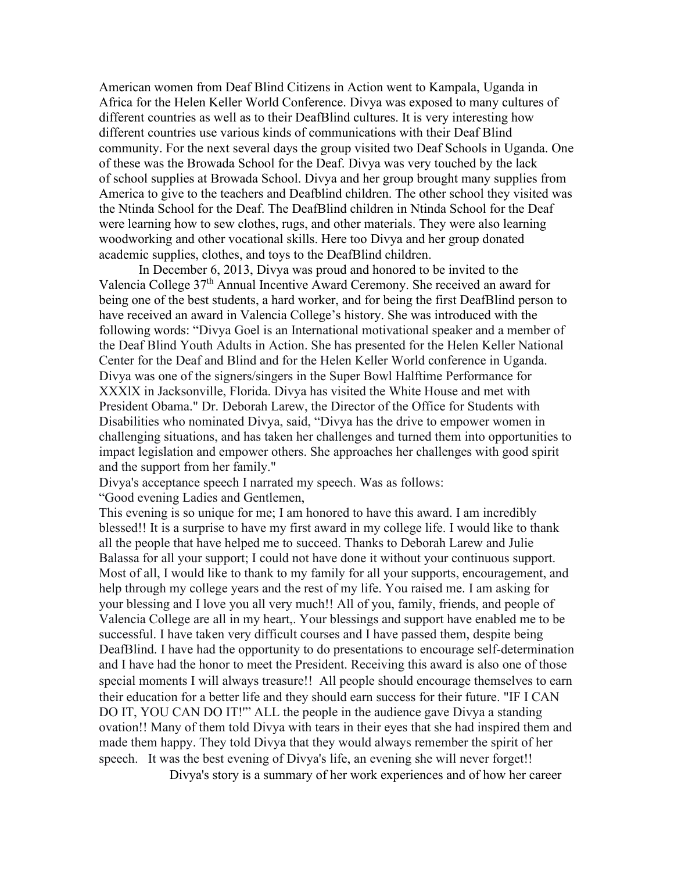American women from Deaf Blind Citizens in Action went to Kampala, Uganda in Africa for the Helen Keller World Conference. Divya was exposed to many cultures of different countries as well as to their DeafBlind cultures. It is very interesting how different countries use various kinds of communications with their Deaf Blind community. For the next several days the group visited two Deaf Schools in Uganda. One of these was the Browada School for the Deaf. Divya was very touched by the lack of school supplies at Browada School. Divya and her group brought many supplies from America to give to the teachers and Deafblind children. The other school they visited was the Ntinda School for the Deaf. The DeafBlind children in Ntinda School for the Deaf were learning how to sew clothes, rugs, and other materials. They were also learning woodworking and other vocational skills. Here too Divya and her group donated academic supplies, clothes, and toys to the DeafBlind children.

In December 6, 2013, Divya was proud and honored to be invited to the Valencia College 37th Annual Incentive Award Ceremony. She received an award for being one of the best students, a hard worker, and for being the first DeafBlind person to have received an award in Valencia College's history. She was introduced with the following words: "Divya Goel is an International motivational speaker and a member of the Deaf Blind Youth Adults in Action. She has presented for the Helen Keller National Center for the Deaf and Blind and for the Helen Keller World conference in Uganda. Divya was one of the signers/singers in the Super Bowl Halftime Performance for XXXlX in Jacksonville, Florida. Divya has visited the White House and met with President Obama." Dr. Deborah Larew, the Director of the Office for Students with Disabilities who nominated Divya, said, "Divya has the drive to empower women in challenging situations, and has taken her challenges and turned them into opportunities to impact legislation and empower others. She approaches her challenges with good spirit and the support from her family."

Divya's acceptance speech I narrated my speech. Was as follows:

"Good evening Ladies and Gentlemen,

This evening is so unique for me; I am honored to have this award. I am incredibly blessed!! It is a surprise to have my first award in my college life. I would like to thank all the people that have helped me to succeed. Thanks to Deborah Larew and Julie Balassa for all your support; I could not have done it without your continuous support. Most of all, I would like to thank to my family for all your supports, encouragement, and help through my college years and the rest of my life. You raised me. I am asking for your blessing and I love you all very much!! All of you, family, friends, and people of Valencia College are all in my heart,. Your blessings and support have enabled me to be successful. I have taken very difficult courses and I have passed them, despite being DeafBlind. I have had the opportunity to do presentations to encourage self-determination and I have had the honor to meet the President. Receiving this award is also one of those special moments I will always treasure!! All people should encourage themselves to earn their education for a better life and they should earn success for their future. "IF I CAN DO IT, YOU CAN DO IT!'" ALL the people in the audience gave Divya a standing ovation!! Many of them told Divya with tears in their eyes that she had inspired them and made them happy. They told Divya that they would always remember the spirit of her speech. It was the best evening of Divya's life, an evening she will never forget!!

Divya's story is a summary of her work experiences and of how her career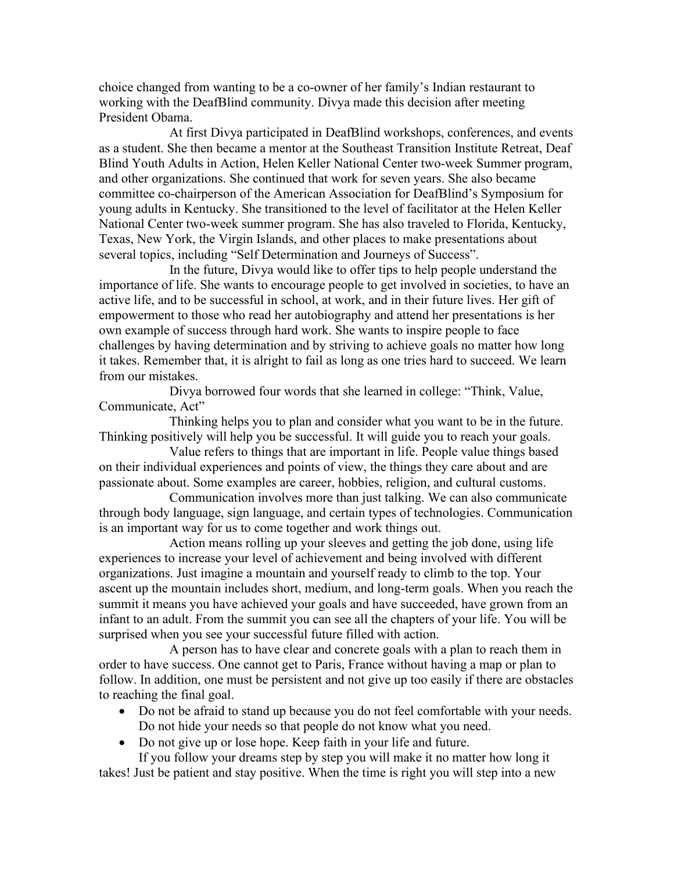choice changed from wanting to be a co-owner of her family's Indian restaurant to working with the DeafBlind community. Divya made this decision after meeting President Obama.

At first Divya participated in DeafBlind workshops, conferences, and events as a student. She then became a mentor at the Southeast Transition Institute Retreat, Deaf Blind Youth Adults in Action, Helen Keller National Center two-week Summer program, and other organizations. She continued that work for seven years. She also became committee co-chairperson of the American Association for DeafBlind's Symposium for young adults in Kentucky. She transitioned to the level of facilitator at the Helen Keller National Center two-week summer program. She has also traveled to Florida, Kentucky, Texas, New York, the Virgin Islands, and other places to make presentations about several topics, including "Self Determination and Journeys of Success".

In the future, Divya would like to offer tips to help people understand the importance of life. She wants to encourage people to get involved in societies, to have an active life, and to be successful in school, at work, and in their future lives. Her gift of empowerment to those who read her autobiography and attend her presentations is her own example of success through hard work. She wants to inspire people to face challenges by having determination and by striving to achieve goals no matter how long it takes. Remember that, it is alright to fail as long as one tries hard to succeed. We learn from our mistakes.

Divya borrowed four words that she learned in college: "Think, Value, Communicate, Act"

Thinking helps you to plan and consider what you want to be in the future. Thinking positively will help you be successful. It will guide you to reach your goals.

Value refers to things that are important in life. People value things based on their individual experiences and points of view, the things they care about and are passionate about. Some examples are career, hobbies, religion, and cultural customs.

Communication involves more than just talking. We can also communicate through body language, sign language, and certain types of technologies. Communication is an important way for us to come together and work things out.

Action means rolling up your sleeves and getting the job done, using life experiences to increase your level of achievement and being involved with different organizations. Just imagine a mountain and yourself ready to climb to the top. Your ascent up the mountain includes short, medium, and long-term goals. When you reach the summit it means you have achieved your goals and have succeeded, have grown from an infant to an adult. From the summit you can see all the chapters of your life. You will be surprised when you see your successful future filled with action.

A person has to have clear and concrete goals with a plan to reach them in order to have success. One cannot get to Paris, France without having a map or plan to follow. In addition, one must be persistent and not give up too easily if there are obstacles to reaching the final goal.

- Do not be afraid to stand up because you do not feel comfortable with your needs. Do not hide your needs so that people do not know what you need.
- Do not give up or lose hope. Keep faith in your life and future.

If you follow your dreams step by step you will make it no matter how long it takes! Just be patient and stay positive. When the time is right you will step into a new